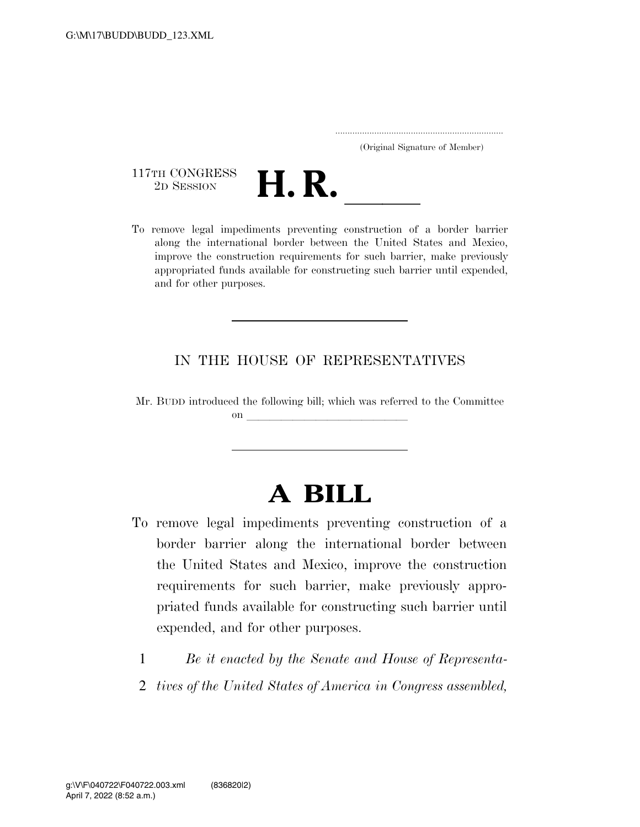..................................................................... (Original Signature of Member)

117TH CONGRESS<br>2D SESSION



117TH CONGRESS<br>
2D SESSION<br>
To remove legal impediments preventing construction of a border barrier along the international border between the United States and Mexico, improve the construction requirements for such barrier, make previously appropriated funds available for constructing such barrier until expended, and for other purposes.

## IN THE HOUSE OF REPRESENTATIVES

Mr. BUDD introduced the following bill; which was referred to the Committee on llet  $\mathcal{O}(n)$ 

## **A BILL**

- To remove legal impediments preventing construction of a border barrier along the international border between the United States and Mexico, improve the construction requirements for such barrier, make previously appropriated funds available for constructing such barrier until expended, and for other purposes.
	- 1 *Be it enacted by the Senate and House of Representa-*
	- 2 *tives of the United States of America in Congress assembled,*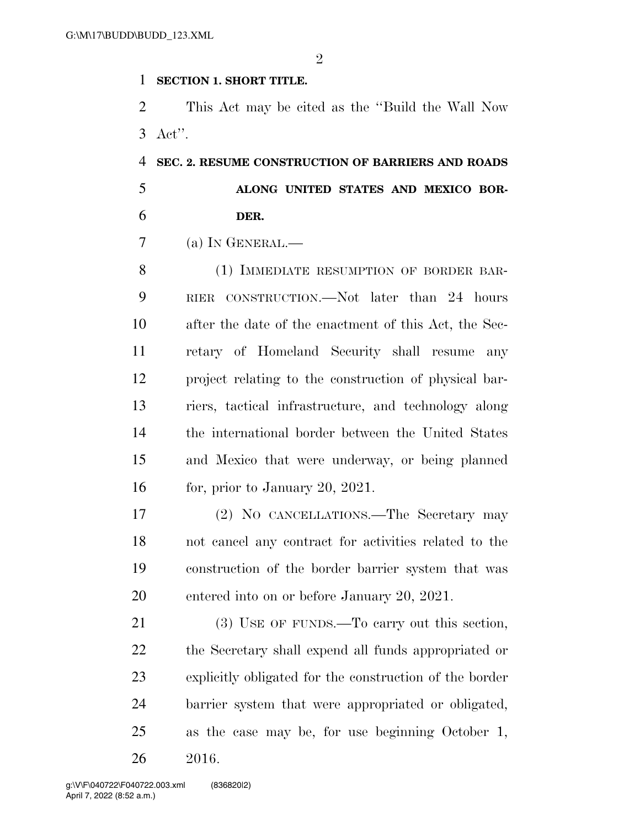$\mathfrak{D}$ 

## **SECTION 1. SHORT TITLE.**

 This Act may be cited as the ''Build the Wall Now Act''.

 **SEC. 2. RESUME CONSTRUCTION OF BARRIERS AND ROADS ALONG UNITED STATES AND MEXICO BOR-DER.** 

(a) IN GENERAL.—

8 (1) IMMEDIATE RESUMPTION OF BORDER BAR- RIER CONSTRUCTION.—Not later than 24 hours after the date of the enactment of this Act, the Sec- retary of Homeland Security shall resume any project relating to the construction of physical bar- riers, tactical infrastructure, and technology along the international border between the United States and Mexico that were underway, or being planned for, prior to January 20, 2021.

 (2) NO CANCELLATIONS.—The Secretary may not cancel any contract for activities related to the construction of the border barrier system that was entered into on or before January 20, 2021.

21 (3) USE OF FUNDS.—To carry out this section, the Secretary shall expend all funds appropriated or explicitly obligated for the construction of the border barrier system that were appropriated or obligated, as the case may be, for use beginning October 1, 2016.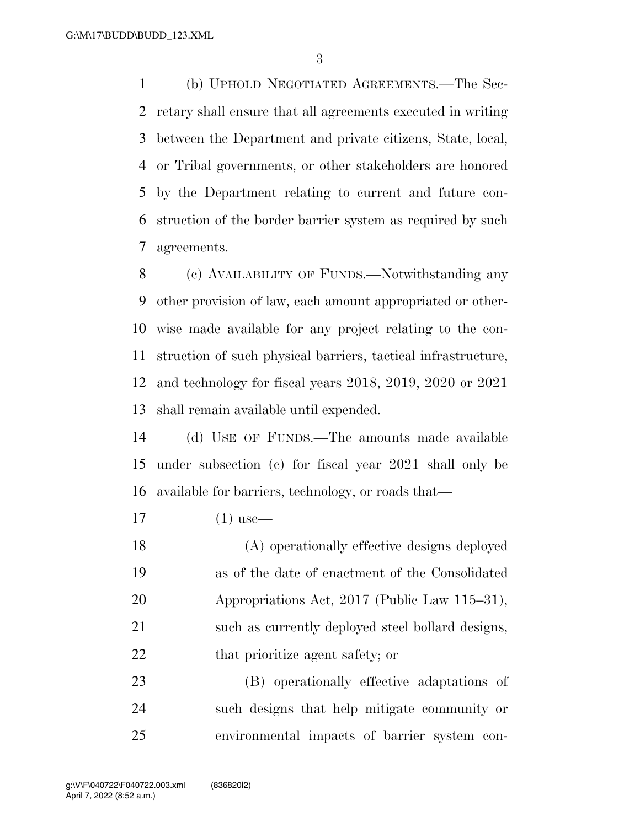(b) UPHOLD NEGOTIATED AGREEMENTS.—The Sec- retary shall ensure that all agreements executed in writing between the Department and private citizens, State, local, or Tribal governments, or other stakeholders are honored by the Department relating to current and future con- struction of the border barrier system as required by such agreements.

 (c) AVAILABILITY OF FUNDS.—Notwithstanding any other provision of law, each amount appropriated or other- wise made available for any project relating to the con- struction of such physical barriers, tactical infrastructure, and technology for fiscal years 2018, 2019, 2020 or 2021 shall remain available until expended.

 (d) USE OF FUNDS.—The amounts made available under subsection (c) for fiscal year 2021 shall only be available for barriers, technology, or roads that—

(1) use—

 (A) operationally effective designs deployed as of the date of enactment of the Consolidated Appropriations Act, 2017 (Public Law 115–31), such as currently deployed steel bollard designs, 22 that prioritize agent safety; or

 (B) operationally effective adaptations of such designs that help mitigate community or environmental impacts of barrier system con-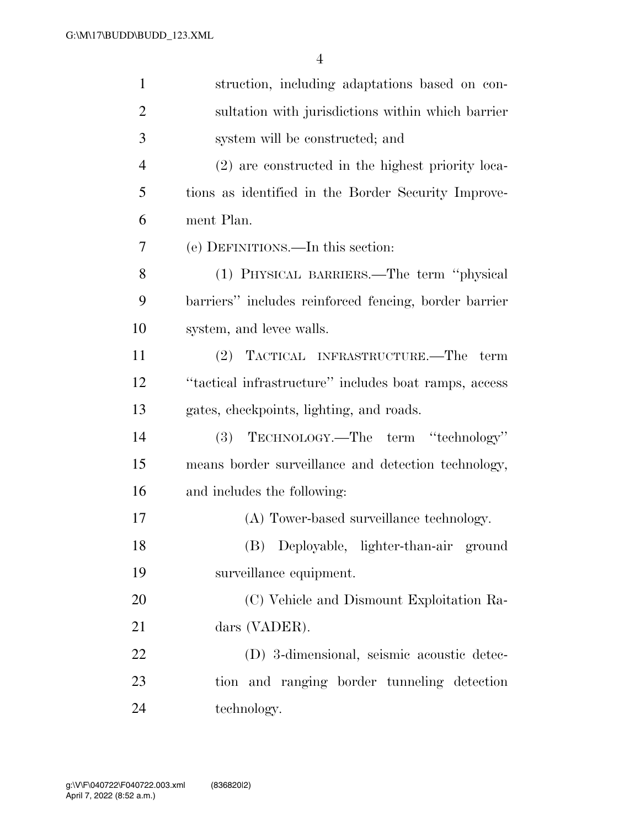| $\mathbf{1}$   | struction, including adaptations based on con-        |
|----------------|-------------------------------------------------------|
| $\overline{2}$ | sultation with jurisdictions within which barrier     |
| 3              | system will be constructed; and                       |
| $\overline{4}$ | (2) are constructed in the highest priority loca-     |
| 5              | tions as identified in the Border Security Improve-   |
| 6              | ment Plan.                                            |
| 7              | (e) DEFINITIONS.—In this section:                     |
| 8              | (1) PHYSICAL BARRIERS.—The term "physical             |
| 9              | barriers" includes reinforced fencing, border barrier |
| 10             | system, and levee walls.                              |
| 11             | (2) TACTICAL INFRASTRUCTURE.—The<br>term              |
| 12             | "tactical infrastructure" includes boat ramps, access |
| 13             | gates, checkpoints, lighting, and roads.              |
| 14             | TECHNOLOGY.—The term "technology"<br><b>(3)</b>       |
| 15             | means border surveillance and detection technology,   |
| 16             | and includes the following:                           |
| 17             | (A) Tower-based surveillance technology.              |
| 18             | (B) Deployable, lighter-than-air ground               |
| 19             | surveillance equipment.                               |
| 20             | (C) Vehicle and Dismount Exploitation Ra-             |
| 21             | dars (VADER).                                         |
| 22             | (D) 3-dimensional, seismic acoustic detec-            |
| 23             | tion and ranging border tunneling detection           |
| 24             | technology.                                           |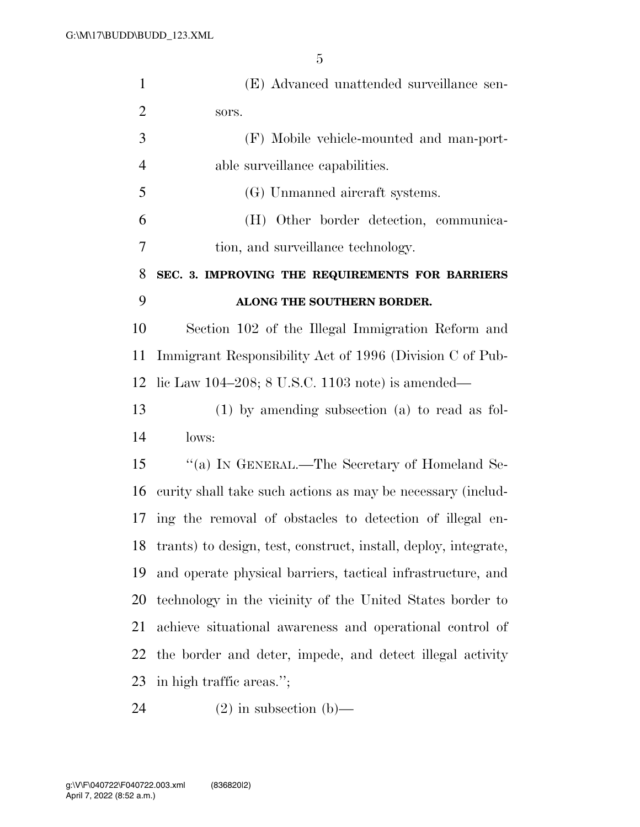| $\mathbf{1}$   | (E) Advanced unattended surveillance sen-                          |
|----------------|--------------------------------------------------------------------|
| $\overline{2}$ | sors.                                                              |
| 3              | (F) Mobile vehicle-mounted and man-port-                           |
| $\overline{4}$ | able surveillance capabilities.                                    |
| 5              | (G) Unmanned aircraft systems.                                     |
| 6              | (H) Other border detection, communica-                             |
| 7              | tion, and surveillance technology.                                 |
| 8              | SEC. 3. IMPROVING THE REQUIREMENTS FOR BARRIERS                    |
| 9              | ALONG THE SOUTHERN BORDER.                                         |
| 10             | Section 102 of the Illegal Immigration Reform and                  |
| 11             | Immigrant Responsibility Act of 1996 (Division C of Pub-           |
| 12             | lic Law 104-208; 8 U.S.C. 1103 note) is amended—                   |
| 13             | $(1)$ by amending subsection $(a)$ to read as fol-                 |
| 14             | lows:                                                              |
| 15             | "(a) IN GENERAL.—The Secretary of Homeland Se-                     |
| 16             | curity shall take such actions as may be necessary (includ-        |
|                | 17 ing the removal of obstacles to detection of illegal en-        |
|                | 18 trants) to design, test, construct, install, deploy, integrate, |
| 19             | and operate physical barriers, tactical infrastructure, and        |
| 20             | technology in the vicinity of the United States border to          |
| 21             | achieve situational awareness and operational control of           |
| 22             | the border and deter, impede, and detect illegal activity          |
| 23             | in high traffic areas.";                                           |
|                |                                                                    |

(2) in subsection (b)—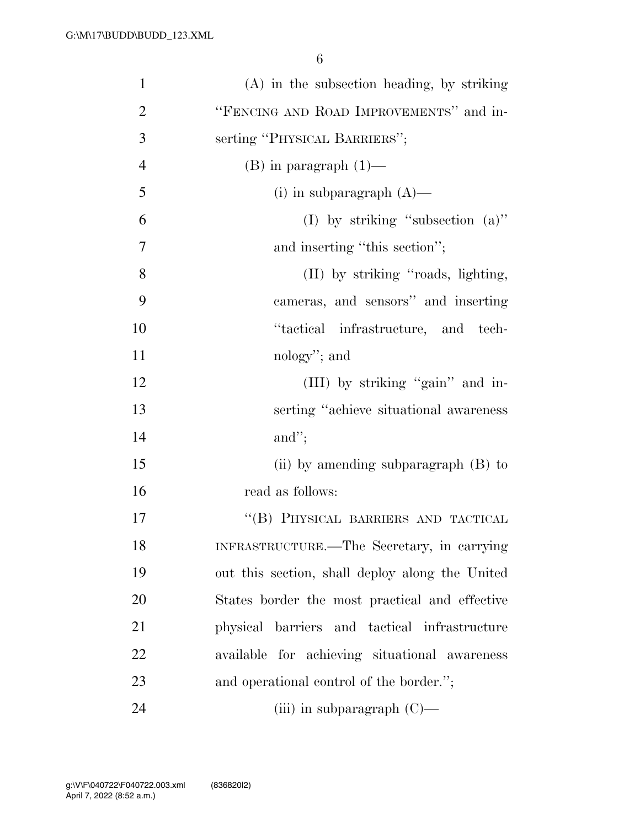| $\mathbf{1}$   | $(A)$ in the subsection heading, by striking    |
|----------------|-------------------------------------------------|
| $\overline{2}$ | "FENCING AND ROAD IMPROVEMENTS" and in-         |
| 3              | serting "PHYSICAL BARRIERS";                    |
| $\overline{4}$ | $(B)$ in paragraph $(1)$ —                      |
| 5              | (i) in subparagraph $(A)$ —                     |
| 6              | (I) by striking "subsection $(a)$ "             |
| 7              | and inserting "this section";                   |
| 8              | (II) by striking "roads, lighting,              |
| 9              | cameras, and sensors" and inserting             |
| 10             | "tactical infrastructure, and tech-             |
| 11             | nology"; and                                    |
| 12             | (III) by striking "gain" and in-                |
| 13             | serting "achieve situational awareness"         |
| 14             | and";                                           |
| 15             | (ii) by amending subparagraph $(B)$ to          |
| 16             | read as follows:                                |
| 17             | "(B) PHYSICAL BARRIERS AND TACTICAL             |
| 18             | INFRASTRUCTURE.—The Secretary, in carrying      |
| 19             | out this section, shall deploy along the United |
| 20             | States border the most practical and effective  |
| 21             | physical barriers and tactical infrastructure   |
| 22             | available for achieving situational awareness   |
| 23             | and operational control of the border.";        |
| 24             | (iii) in subparagraph $(C)$ —                   |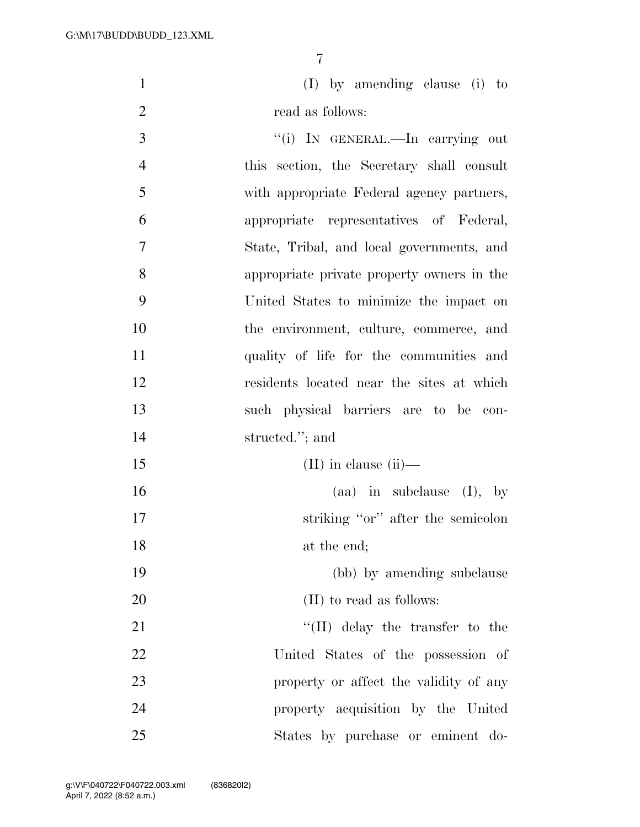(I) by amending clause (i) to 2 read as follows:

3 "(i) IN GENERAL.—In carrying out this section, the Secretary shall consult with appropriate Federal agency partners, appropriate representatives of Federal, State, Tribal, and local governments, and appropriate private property owners in the United States to minimize the impact on the environment, culture, commerce, and quality of life for the communities and residents located near the sites at which such physical barriers are to be con- structed.''; and 15 (II) in clause (ii)— (aa) in subclause (I), by 17 striking "or" after the semicolon 18 at the end;

 (bb) by amending subclause 20 (II) to read as follows:

21 ''(II) delay the transfer to the United States of the possession of property or affect the validity of any property acquisition by the United States by purchase or eminent do-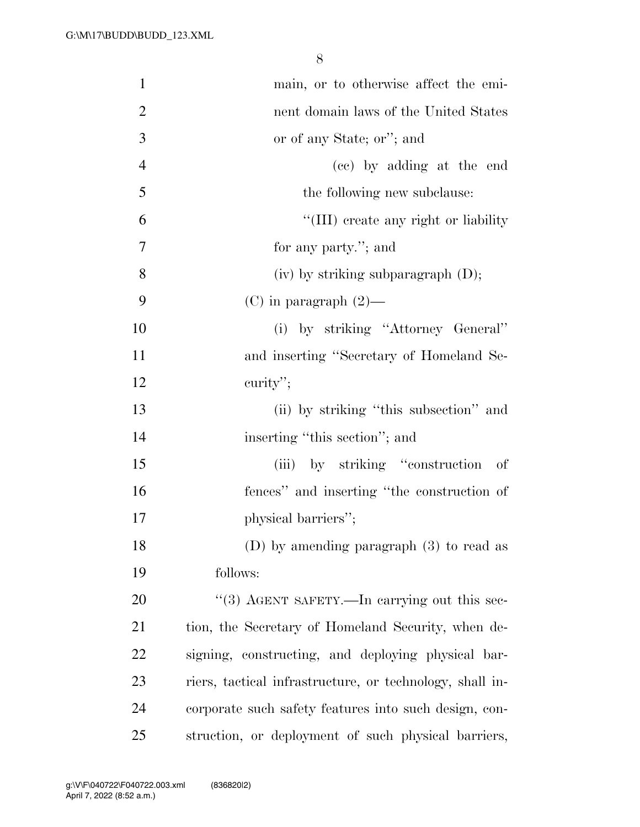| $\mathbf{1}$   | main, or to otherwise affect the emi-                    |
|----------------|----------------------------------------------------------|
| $\overline{2}$ | nent domain laws of the United States                    |
| 3              | or of any State; or"; and                                |
| $\overline{4}$ | (cc) by adding at the end                                |
| 5              | the following new subclause:                             |
| 6              | "(III) create any right or liability                     |
| 7              | for any party."; and                                     |
| 8              | $(iv)$ by striking subparagraph $(D)$ ;                  |
| 9              | $(C)$ in paragraph $(2)$ —                               |
| 10             | (i) by striking "Attorney General"                       |
| 11             | and inserting "Secretary of Homeland Se-                 |
| 12             | curity";                                                 |
| 13             | (ii) by striking "this subsection" and                   |
| 14             | inserting "this section"; and                            |
| 15             | (iii) by striking "construction"<br>- of                 |
| 16             | fences" and inserting "the construction of               |
| 17             | physical barriers";                                      |
| 18             | (D) by amending paragraph $(3)$ to read as               |
| 19             | follows:                                                 |
| 20             | "(3) AGENT SAFETY.—In carrying out this sec-             |
| 21             | tion, the Secretary of Homeland Security, when de-       |
| 22             | signing, constructing, and deploying physical bar-       |
| 23             | riers, tactical infrastructure, or technology, shall in- |
| 24             | corporate such safety features into such design, con-    |
| 25             | struction, or deployment of such physical barriers,      |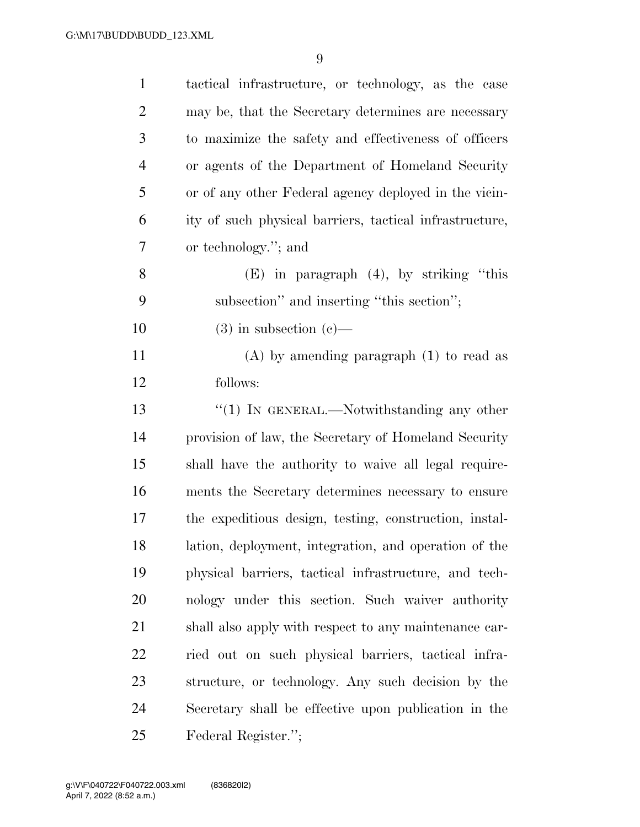| $\mathbf{1}$   | tactical infrastructure, or technology, as the case     |
|----------------|---------------------------------------------------------|
| $\overline{2}$ | may be, that the Secretary determines are necessary     |
| 3              | to maximize the safety and effectiveness of officers    |
| $\overline{4}$ | or agents of the Department of Homeland Security        |
| 5              | or of any other Federal agency deployed in the vicin-   |
| 6              | ity of such physical barriers, tactical infrastructure, |
| 7              | or technology."; and                                    |
| 8              | $(E)$ in paragraph $(4)$ , by striking "this            |
| 9              | subsection" and inserting "this section";               |
| 10             | $(3)$ in subsection $(e)$ —                             |
| 11             | $(A)$ by amending paragraph $(1)$ to read as            |
| 12             | follows:                                                |
| 13             | $\lq(1)$ In GENERAL.—Notwithstanding any other          |
| 14             | provision of law, the Secretary of Homeland Security    |
| 15             | shall have the authority to waive all legal require-    |
| 16             | ments the Secretary determines necessary to ensure      |
| 17             | the expeditious design, testing, construction, instal-  |
| 18             | lation, deployment, integration, and operation of the   |
| 19             | physical barriers, tactical infrastructure, and tech-   |
| 20             | nology under this section. Such waiver authority        |
| 21             | shall also apply with respect to any maintenance car-   |
| <u>22</u>      | ried out on such physical barriers, tactical infra-     |
| 23             | structure, or technology. Any such decision by the      |
| 24             | Secretary shall be effective upon publication in the    |
| 25             | Federal Register.";                                     |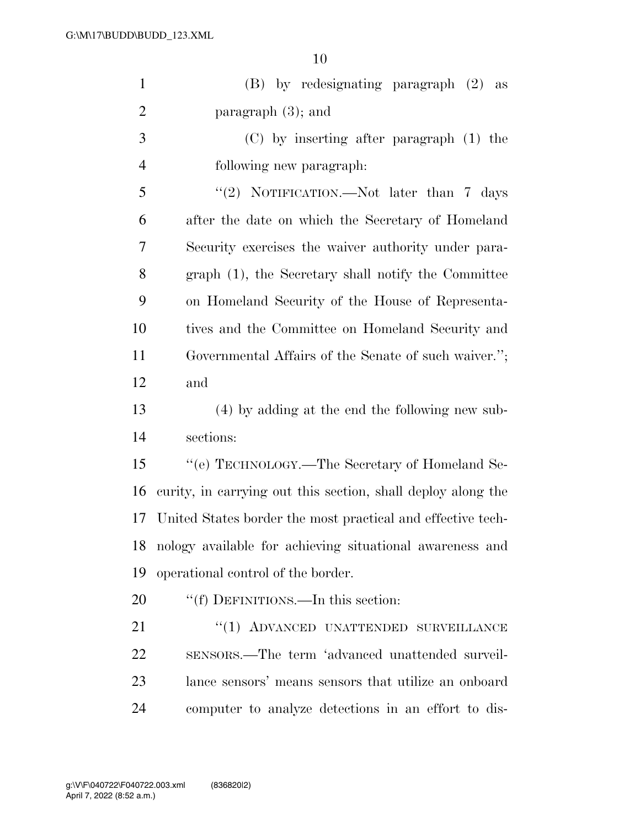| $\mathbf{1}$   | (B) by redesignating paragraph (2)<br>as                     |  |
|----------------|--------------------------------------------------------------|--|
| $\overline{2}$ | paragraph $(3)$ ; and                                        |  |
| 3              | $(C)$ by inserting after paragraph $(1)$ the                 |  |
| $\overline{4}$ | following new paragraph:                                     |  |
| 5              | "(2) NOTIFICATION.—Not later than $7 \text{ days}$           |  |
| 6              | after the date on which the Secretary of Homeland            |  |
| 7              | Security exercises the waiver authority under para-          |  |
| 8              | graph (1), the Secretary shall notify the Committee          |  |
| 9              | on Homeland Security of the House of Representa-             |  |
| 10             | tives and the Committee on Homeland Security and             |  |
| 11             | Governmental Affairs of the Senate of such waiver.";         |  |
| 12             | and                                                          |  |
| 13             | (4) by adding at the end the following new sub-              |  |
| 14             | sections:                                                    |  |
| 15             | "(e) TECHNOLOGY.—The Secretary of Homeland Se-               |  |
| 16             | curity, in carrying out this section, shall deploy along the |  |
| 17             | United States border the most practical and effective tech-  |  |
| 18             | nology available for achieving situational awareness and     |  |
| 19             | operational control of the border.                           |  |
| 20             | "(f) DEFINITIONS.—In this section:                           |  |
| 21             | "(1) ADVANCED UNATTENDED SURVEILLANCE                        |  |
| 22             | sensors.—The term 'advanced unattended surveil-              |  |
| 23             | lance sensors' means sensors that utilize an onboard         |  |
| 24             | computer to analyze detections in an effort to dis-          |  |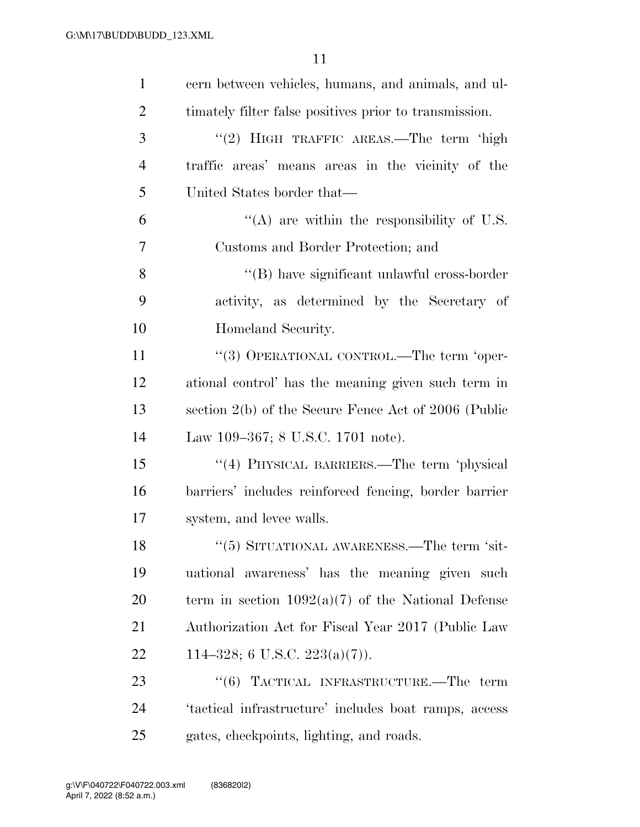| $\mathbf{1}$   | cern between vehicles, humans, and animals, and ul-    |
|----------------|--------------------------------------------------------|
| $\overline{2}$ | timately filter false positives prior to transmission. |
| 3              | "(2) HIGH TRAFFIC AREAS.—The term 'high                |
| $\overline{4}$ | traffic areas' means areas in the vicinity of the      |
| 5              | United States border that—                             |
| 6              | "(A) are within the responsibility of U.S.             |
| 7              | Customs and Border Protection; and                     |
| 8              | "(B) have significant unlawful cross-border            |
| 9              | activity, as determined by the Secretary of            |
| 10             | Homeland Security.                                     |
| 11             | "(3) OPERATIONAL CONTROL.—The term 'oper-              |
| 12             | ational control' has the meaning given such term in    |
| 13             | section 2(b) of the Secure Fence Act of 2006 (Public   |
| 14             | Law 109–367; 8 U.S.C. 1701 note).                      |
| 15             | "(4) PHYSICAL BARRIERS.—The term 'physical             |
| 16             | barriers' includes reinforced fencing, border barrier  |
| 17             | system, and levee walls.                               |
| 18             | $(5)$ SITUATIONAL AWARENESS.—The term 'sit-            |
| 19             | uational awareness' has the meaning given such         |
| 20             | term in section $1092(a)(7)$ of the National Defense   |
| 21             | Authorization Act for Fiscal Year 2017 (Public Law     |
| 22             | 114–328; 6 U.S.C. 223(a)(7)).                          |
| 23             | "(6) TACTICAL INFRASTRUCTURE.—The term                 |
| 24             | 'tactical infrastructure' includes boat ramps, access  |
| 25             | gates, checkpoints, lighting, and roads.               |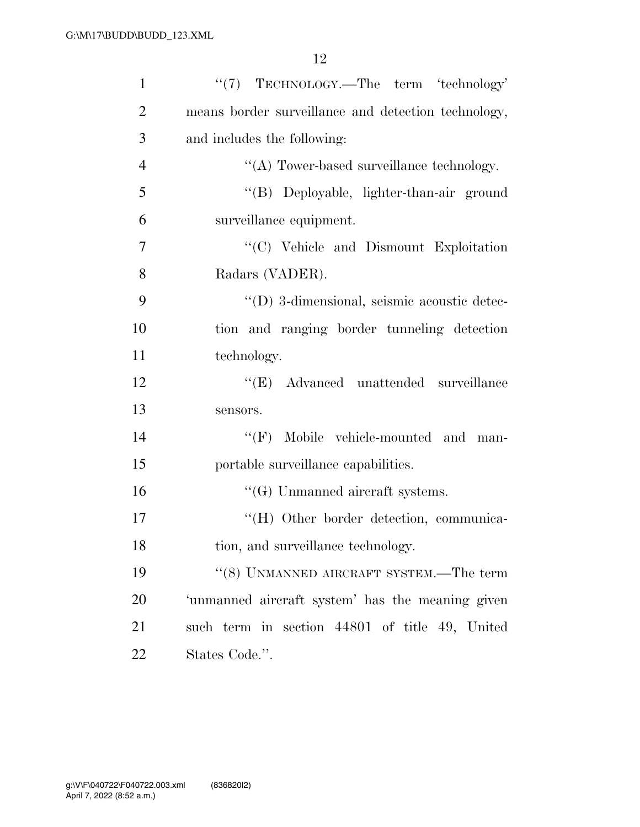| $\mathbf{1}$   | "(7) TECHNOLOGY.—The term 'technology'              |
|----------------|-----------------------------------------------------|
| $\overline{2}$ | means border surveillance and detection technology, |
| 3              | and includes the following:                         |
| $\overline{4}$ | "(A) Tower-based surveillance technology.           |
| 5              | "(B) Deployable, lighter-than-air ground            |
| 6              | surveillance equipment.                             |
| 7              | "(C) Vehicle and Dismount Exploitation              |
| 8              | Radars (VADER).                                     |
| 9              | "(D) 3-dimensional, seismic acoustic detec-         |
| 10             | tion and ranging border tunneling detection         |
| 11             | technology.                                         |
| 12             | "(E) Advanced unattended surveillance               |
| 13             | sensors.                                            |
| 14             | "(F) Mobile vehicle-mounted and man-                |
| 15             | portable surveillance capabilities.                 |
| 16             | $\lq\lq(G)$ Unmanned aircraft systems.              |
| 17             | "(H) Other border detection, communica-             |
| 18             | tion, and surveillance technology.                  |
| 19             | $``(8)$ UNMANNED AIRCRAFT SYSTEM.—The term          |
| 20             | 'unmanned aircraft system' has the meaning given    |
| 21             | such term in section 44801 of title 49, United      |
| 22             | States Code.".                                      |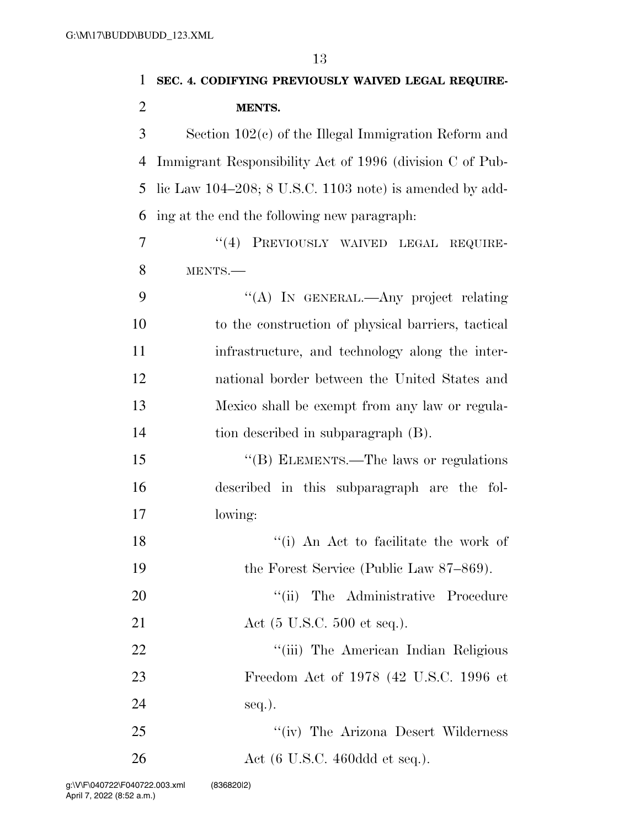| 1              | SEC. 4. CODIFYING PREVIOUSLY WAIVED LEGAL REQUIRE-         |
|----------------|------------------------------------------------------------|
| $\overline{2}$ | <b>MENTS.</b>                                              |
| 3              | Section $102(c)$ of the Illegal Immigration Reform and     |
| 4              | Immigrant Responsibility Act of 1996 (division C of Pub-   |
| 5              | lic Law $104-208$ ; 8 U.S.C. 1103 note) is amended by add- |
| 6              | ing at the end the following new paragraph:                |
| 7              | "(4) PREVIOUSLY WAIVED LEGAL REQUIRE-                      |
| 8              | MENTS.-                                                    |
| 9              | "(A) IN GENERAL.—Any project relating                      |
| 10             | to the construction of physical barriers, tactical         |
| 11             | infrastructure, and technology along the inter-            |
| 12             | national border between the United States and              |
| 13             | Mexico shall be exempt from any law or regula-             |
| 14             | tion described in subparagraph (B).                        |
| 15             | "(B) ELEMENTS.—The laws or regulations                     |
| 16             | described in this subparagraph are the fol-                |
| 17             | lowing:                                                    |
| 18             | "(i) An Act to facilitate the work of                      |
| 19             | the Forest Service (Public Law 87–869).                    |
| 20             | "(ii) The Administrative Procedure                         |
| 21             | Act $(5 \text{ U.S.C. } 500 \text{ et seq.})$ .            |
| 22             | "(iii) The American Indian Religious                       |
| 23             | Freedom Act of 1978 (42 U.S.C. 1996 et                     |
| 24             | seq.).                                                     |
| 25             | "(iv) The Arizona Desert Wilderness                        |
| 26             | Act $(6 \text{ U.S.C. } 460 \text{ddd} \text{ et seq.}).$  |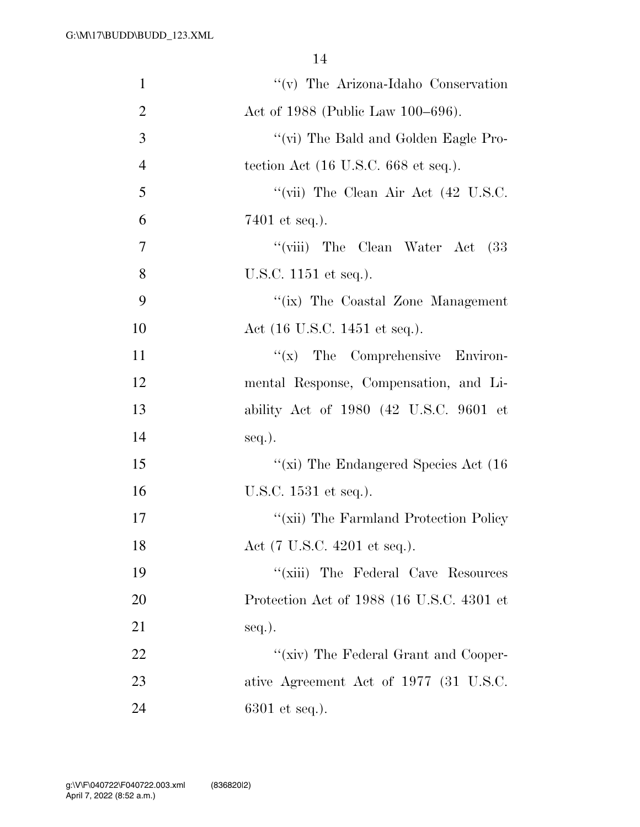| $\mathbf{1}$   | "(v) The Arizona-Idaho Conservation       |
|----------------|-------------------------------------------|
| $\overline{2}$ | Act of 1988 (Public Law 100–696).         |
| 3              | "(vi) The Bald and Golden Eagle Pro-      |
| $\overline{4}$ | tection Act (16 U.S.C. 668 et seq.).      |
| 5              | "(vii) The Clean Air Act (42 U.S.C.       |
| 6              | 7401 et seq.).                            |
| 7              | "(viii) The Clean Water Act<br>(33        |
| 8              | U.S.C. 1151 et seq.).                     |
| 9              | "(ix) The Coastal Zone Management         |
| 10             | Act (16 U.S.C. 1451 et seq.).             |
| 11             | $f(x)$ The Comprehensive Environ-         |
| 12             | mental Response, Compensation, and Li-    |
| 13             | ability Act of 1980 (42 U.S.C. 9601 et    |
| 14             | $seq.$ ).                                 |
| 15             | "(xi) The Endangered Species Act $(16)$   |
| 16             | U.S.C. 1531 et seq.).                     |
| 17             | "(xii) The Farmland Protection Policy     |
| 18             | Act (7 U.S.C. 4201 et seq.).              |
| 19             | "(xiii) The Federal Cave Resources        |
| 20             | Protection Act of 1988 (16 U.S.C. 4301 et |
| 21             | $seq.$ ).                                 |
| 22             | "(xiv) The Federal Grant and Cooper-      |
| 23             | ative Agreement Act of 1977 (31 U.S.C.    |
| 24             | $6301$ et seq.).                          |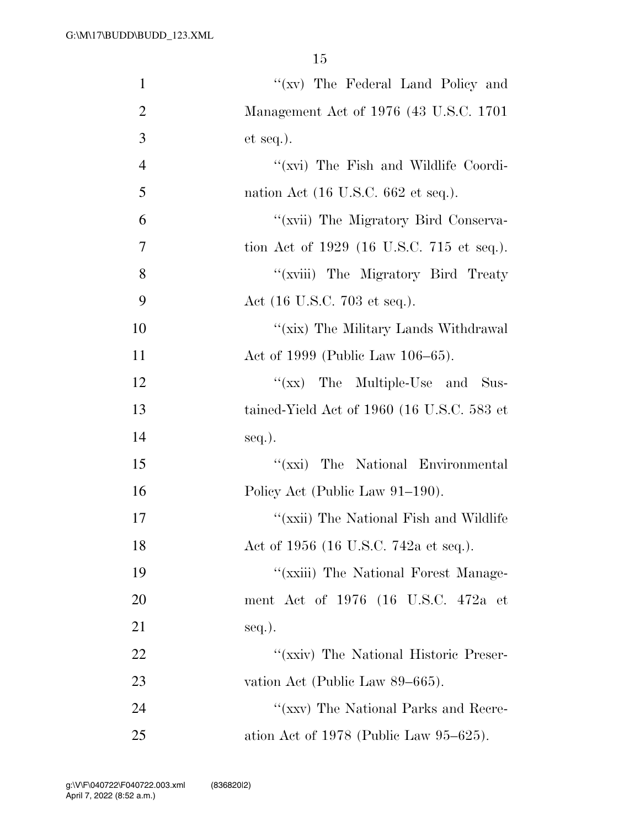| $\mathbf{1}$   | "(xv) The Federal Land Policy and                      |
|----------------|--------------------------------------------------------|
| $\overline{2}$ | Management Act of 1976 (43 U.S.C. 1701)                |
| 3              | $et seq.$ ).                                           |
| $\overline{4}$ | "(xvi) The Fish and Wildlife Coordi-                   |
| 5              | nation Act $(16 \text{ U.S.C. } 662 \text{ et seq.}).$ |
| 6              | "(xvii) The Migratory Bird Conserva-                   |
| $\overline{7}$ | tion Act of 1929 (16 U.S.C. 715 et seq.).              |
| 8              | "(xviii) The Migratory Bird Treaty                     |
| 9              | Act (16 U.S.C. 703 et seq.).                           |
| 10             | "(xix) The Military Lands Withdrawal                   |
| 11             | Act of 1999 (Public Law 106–65).                       |
| 12             | "(xx) The Multiple-Use and Sus-                        |
| 13             | tained-Yield Act of 1960 (16 U.S.C. 583 et             |
| 14             | $seq.$ ).                                              |
| 15             | "(xxi) The National Environmental                      |
| 16             | Policy Act (Public Law 91-190).                        |
| 17             | "(xxii) The National Fish and Wildlife                 |
| 18             | Act of 1956 (16 U.S.C. 742a et seq.).                  |
| 19             | "(xxiii) The National Forest Manage-                   |
| 20             | ment Act of 1976 (16 U.S.C. 472a et                    |
| 21             | seq.).                                                 |
| 22             | "(xxiv) The National Historic Preser-                  |
| 23             | vation Act (Public Law 89–665).                        |
| 24             | "(xxv) The National Parks and Recre-                   |
| 25             | ation Act of $1978$ (Public Law $95-625$ ).            |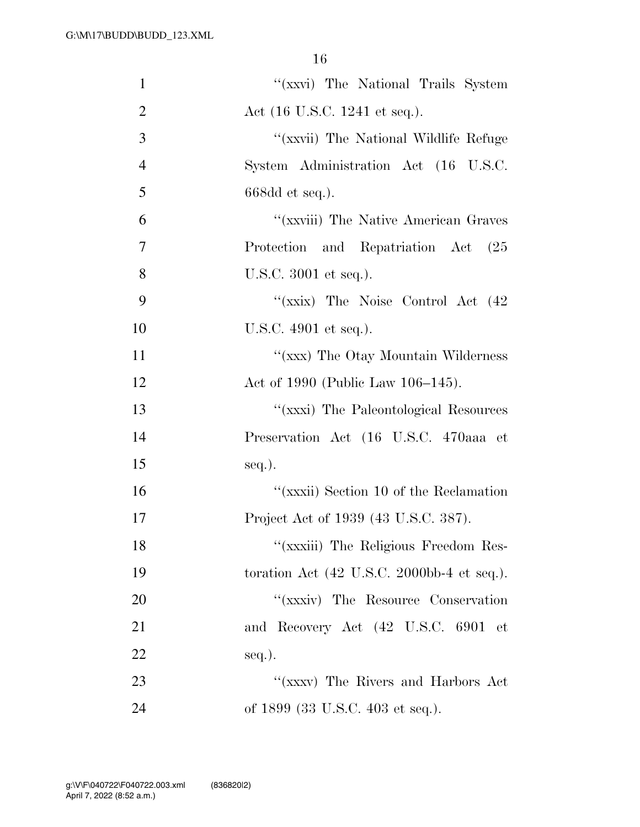| $\mathbf{1}$   | "(xxvi) The National Trails System                                    |
|----------------|-----------------------------------------------------------------------|
| $\overline{2}$ | Act (16 U.S.C. 1241 et seq.).                                         |
| 3              | "(xxvii) The National Wildlife Refuge                                 |
| $\overline{4}$ | System Administration Act (16 U.S.C.                                  |
| 5              | $668dd$ et seq.).                                                     |
| 6              | "(xxviii) The Native American Graves                                  |
| 7              | Protection and Repatriation Act<br>(25)                               |
| 8              | U.S.C. 3001 et seq.).                                                 |
| 9              | "(xxix) The Noise Control Act (42)                                    |
| 10             | U.S.C. 4901 et seq.).                                                 |
| 11             | "(xxx) The Otay Mountain Wilderness                                   |
| 12             | Act of 1990 (Public Law 106–145).                                     |
| 13             | "(xxxi) The Paleontological Resources                                 |
| 14             | Preservation Act (16 U.S.C. 470aaa et                                 |
| 15             | $seq.$ ).                                                             |
| 16             | "(xxxii) Section 10 of the Reclamation                                |
| 17             | Project Act of 1939 (43 U.S.C. 387).                                  |
| 18             | "(xxxiii) The Religious Freedom Res-                                  |
| 19             | toration Act $(42 \text{ U.S.C. } 2000 \text{bb-}4 \text{ et seq.}).$ |
| 20             | "(xxxiv) The Resource Conservation                                    |
| 21             | and Recovery Act (42 U.S.C. 6901 et                                   |
| 22             | seq.).                                                                |
| 23             | "(xxxv) The Rivers and Harbors Act                                    |
| 24             | of 1899 (33 U.S.C. 403 et seq.).                                      |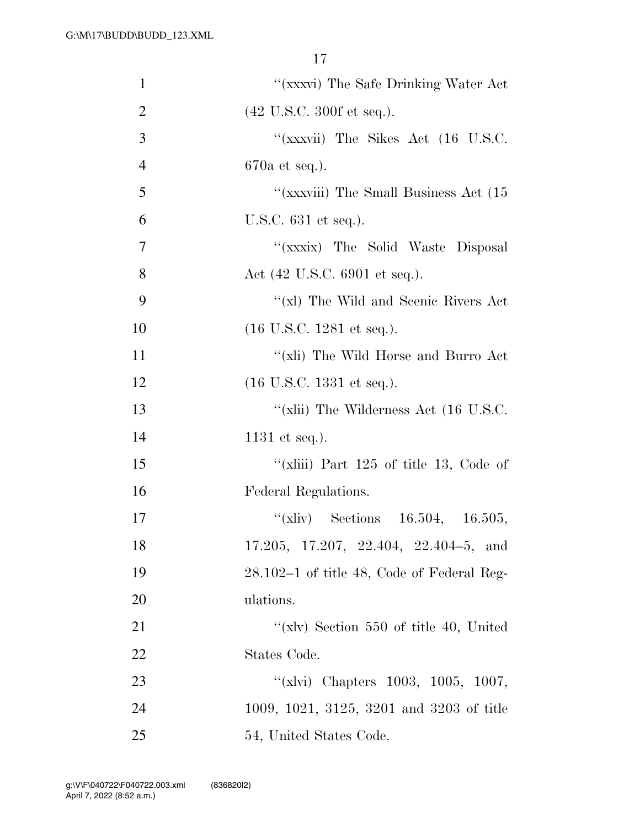| $\mathbf{1}$   | $``(\mbox{xxxvi})$ The Safe Drinking Water Act   |
|----------------|--------------------------------------------------|
| $\overline{2}$ | $(42 \text{ U.S.C. } 300 \text{ f et seq.}).$    |
| 3              | "(xxxvii) The Sikes Act $(16 \text{ U.S.C.})$    |
| $\overline{4}$ | $670a$ et seq.).                                 |
| 5              | "(xxxviii) The Small Business Act (15)           |
| 6              | U.S.C. 631 et seq.).                             |
| $\overline{7}$ | "(xxxix) The Solid Waste Disposal                |
| 8              | Act $(42 \text{ U.S.C. } 6901 \text{ et seq.}).$ |
| 9              | "(xl) The Wild and Scenic Rivers Act             |
| 10             | $(16 \text{ U.S.C. } 1281 \text{ et seq.}).$     |
| 11             | "(xli) The Wild Horse and Burro Act              |
| 12             | $(16 \text{ U.S.C. } 1331 \text{ et seq.}).$     |
| 13             | "(xlii) The Wilderness Act $(16 \text{ U.S.C.})$ |
| 14             | $1131$ et seq.).                                 |
| 15             | "(xliii) Part $125$ of title 13, Code of         |
| 16             | Federal Regulations.                             |
| 17             | "(xliv) Sections $16.504$ , $16.505$ ,           |
| 18             | 17.205, 17.207, 22.404, 22.404-5, and            |
| 19             | $28.102-1$ of title 48, Code of Federal Reg-     |
| 20             | ulations.                                        |
| 21             | "(xlv) Section $550$ of title 40, United         |
| 22             | States Code.                                     |
| 23             | "(xlvi) Chapters 1003, 1005, 1007,               |
| 24             | 1009, 1021, 3125, 3201 and 3203 of title         |
| 25             | 54, United States Code.                          |